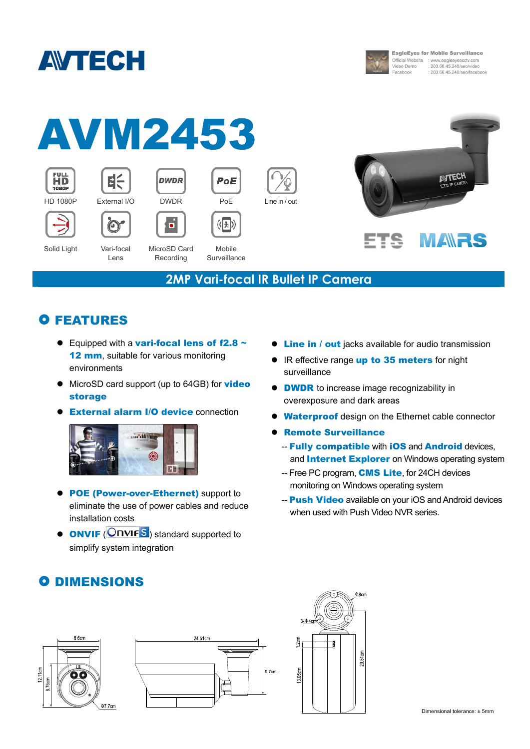



**EagleEyes for Mobile Surveillance** Official Website : www.eagleeyescctv.com<br>Video Demo : 203.66.45.240/seo/video 203.66.45.240/seo/facebook



### **2MP Vari-focal IR Bullet IP Camera**

## **O FEATURES**

- Equipped with a vari-focal lens of  $f2.8 \sim$ 12 mm, suitable for various monitoring environments
- MicroSD card support (up to 64GB) for **video** storage
- **External alarm I/O device connection**



- POE (Power-over-Ethernet) support to eliminate the use of power cables and reduce installation costs
- $\bullet$  **ONVIF** ( $\bullet$  **ONVIF** $\bullet$ ) standard supported to simplify system integration
- **Cine in / out** jacks available for audio transmission
- IR effective range up to 35 meters for night surveillance
- **DWDR** to increase image recognizability in overexposure and dark areas
- **Waterproof** design on the Ethernet cable connector
- **Remote Surveillance** 
	- -- Fully compatible with iOS and Android devices, and **Internet Explorer** on Windows operating system
	- -- Free PC program, **CMS Lite**, for 24CH devices monitoring on Windows operating system
	- -- **Push Video** available on your iOS and Android devices when used with Push Video NVR series.

## **O DIMENSIONS**





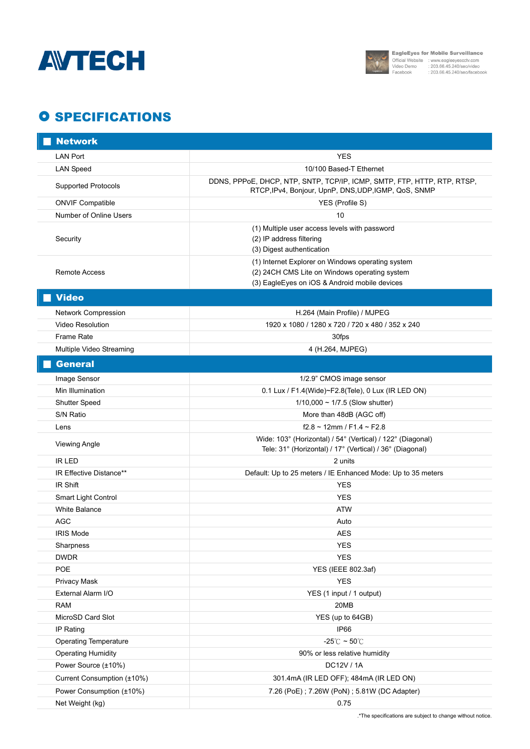



## **O SPECIFICATIONS**

| <b>Network</b>               |                                                                                                                                                     |
|------------------------------|-----------------------------------------------------------------------------------------------------------------------------------------------------|
| <b>LAN Port</b>              | YES                                                                                                                                                 |
| <b>LAN Speed</b>             | 10/100 Based-T Ethernet                                                                                                                             |
| <b>Supported Protocols</b>   | DDNS, PPPoE, DHCP, NTP, SNTP, TCP/IP, ICMP, SMTP, FTP, HTTP, RTP, RTSP,<br>RTCP, IPv4, Bonjour, UpnP, DNS, UDP, IGMP, QoS, SNMP                     |
| <b>ONVIF Compatible</b>      | YES (Profile S)                                                                                                                                     |
| Number of Online Users       | 10                                                                                                                                                  |
| Security                     | (1) Multiple user access levels with password<br>(2) IP address filtering<br>(3) Digest authentication                                              |
| Remote Access                | (1) Internet Explorer on Windows operating system<br>(2) 24CH CMS Lite on Windows operating system<br>(3) EagleEyes on iOS & Android mobile devices |
| <b>Video</b>                 |                                                                                                                                                     |
| Network Compression          | H.264 (Main Profile) / MJPEG                                                                                                                        |
| <b>Video Resolution</b>      | 1920 x 1080 / 1280 x 720 / 720 x 480 / 352 x 240                                                                                                    |
| Frame Rate                   | 30fps                                                                                                                                               |
| Multiple Video Streaming     | 4 (H.264, MJPEG)                                                                                                                                    |
| <b>General</b>               |                                                                                                                                                     |
| Image Sensor                 | 1/2.9" CMOS image sensor                                                                                                                            |
| Min Illumination             | 0.1 Lux / F1.4(Wide)~F2.8(Tele), 0 Lux (IR LED ON)                                                                                                  |
| Shutter Speed                | $1/10,000 \sim 1/7.5$ (Slow shutter)                                                                                                                |
| S/N Ratio                    | More than 48dB (AGC off)                                                                                                                            |
| Lens                         | $f2.8 \sim 12$ mm / F1.4 ~ F2.8                                                                                                                     |
| <b>Viewing Angle</b>         | Wide: 103° (Horizontal) / 54° (Vertical) / 122° (Diagonal)<br>Tele: 31° (Horizontal) / 17° (Vertical) / 36° (Diagonal)                              |
| <b>IR LED</b>                | 2 units                                                                                                                                             |
| IR Effective Distance**      | Default: Up to 25 meters / IE Enhanced Mode: Up to 35 meters                                                                                        |
| IR Shift                     | <b>YES</b>                                                                                                                                          |
| Smart Light Control          | <b>YES</b>                                                                                                                                          |
| <b>White Balance</b>         | <b>ATW</b>                                                                                                                                          |
| AGC                          | Auto                                                                                                                                                |
| <b>IRIS Mode</b>             | <b>AES</b>                                                                                                                                          |
| Sharpness<br><b>DWDR</b>     | <b>YES</b><br><b>YES</b>                                                                                                                            |
| POE                          | YES (IEEE 802.3af)                                                                                                                                  |
| Privacy Mask                 | <b>YES</b>                                                                                                                                          |
| External Alarm I/O           | YES (1 input / 1 output)                                                                                                                            |
| <b>RAM</b>                   | 20MB                                                                                                                                                |
| MicroSD Card Slot            | YES (up to 64GB)                                                                                                                                    |
| IP Rating                    | IP66                                                                                                                                                |
| <b>Operating Temperature</b> | -25 $\degree$ C ~ 50 $\degree$ C                                                                                                                    |
| <b>Operating Humidity</b>    | 90% or less relative humidity                                                                                                                       |
| Power Source (±10%)          | DC12V / 1A                                                                                                                                          |
| Current Consumption (±10%)   | 301.4mA (IR LED OFF); 484mA (IR LED ON)                                                                                                             |
| Power Consumption (±10%)     | 7.26 (PoE); 7.26W (PoN); 5.81W (DC Adapter)                                                                                                         |
| Net Weight (kg)              | 0.75                                                                                                                                                |